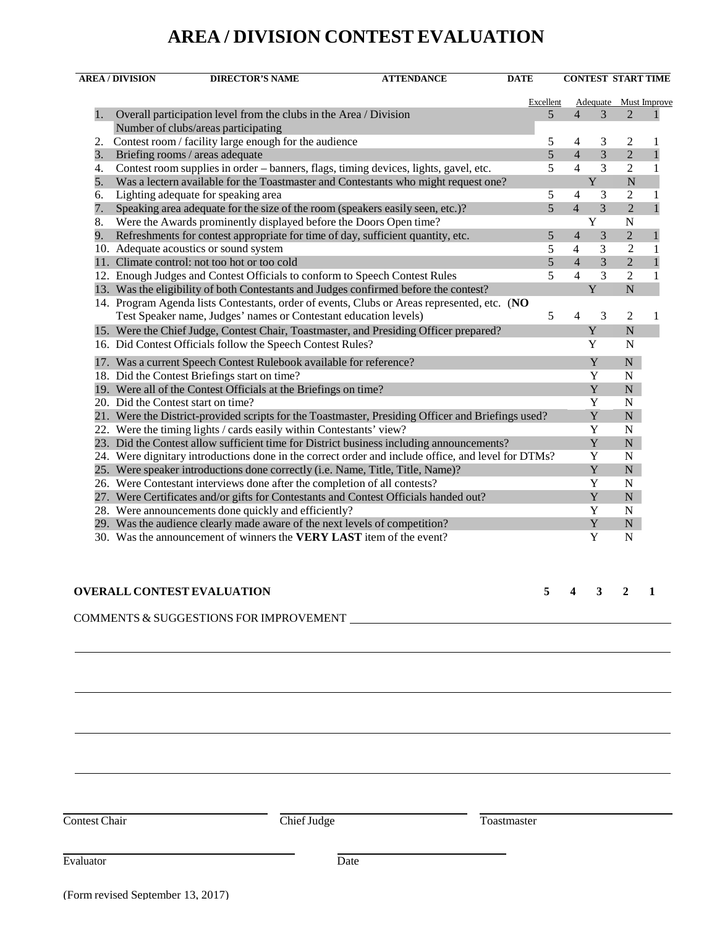## **AREA / DIVISION CONTEST EVALUATION**

|    | <b>AREA / DIVISION</b><br><b>DIRECTOR'S NAME</b><br><b>ATTENDANCE</b>                              | <b>DATE</b> |           |                |                         | <b>CONTEST START TIME</b> |                       |
|----|----------------------------------------------------------------------------------------------------|-------------|-----------|----------------|-------------------------|---------------------------|-----------------------|
|    |                                                                                                    |             | Excellent |                |                         |                           | Adequate Must Improve |
| 1. | Overall participation level from the clubs in the Area / Division                                  |             | 5         | $\overline{4}$ | 3                       | $\overline{2}$            |                       |
|    | Number of clubs/areas participating                                                                |             |           |                |                         |                           |                       |
| 2. | Contest room / facility large enough for the audience                                              |             | 5         | 4              | 3                       | 2                         | -1                    |
| 3. | Briefing rooms / areas adequate                                                                    |             | 5         | $\overline{4}$ | $\overline{3}$          | $\overline{2}$            | $\mathbf{1}$          |
| 4. | Contest room supplies in order - banners, flags, timing devices, lights, gavel, etc.               |             | 5         | $\overline{4}$ | 3                       | $\overline{c}$            | $\mathbf{1}$          |
| 5. | Was a lectern available for the Toastmaster and Contestants who might request one?                 |             |           |                | $\mathbf Y$             | $\overline{N}$            |                       |
| 6. | Lighting adequate for speaking area                                                                |             | 5         | $\overline{4}$ | 3                       | $\overline{2}$            | $\mathbf{1}$          |
| 7. | Speaking area adequate for the size of the room (speakers easily seen, etc.)?                      |             | 5         | $\overline{4}$ | 3                       | $\overline{2}$            | 1                     |
| 8. | Were the Awards prominently displayed before the Doors Open time?                                  |             |           |                | $\overline{\mathbf{Y}}$ | $\mathbf N$               |                       |
| 9. | Refreshments for contest appropriate for time of day, sufficient quantity, etc.                    |             | 5         | 4              | 3                       | $\overline{2}$            | 1                     |
|    | 10. Adequate acoustics or sound system                                                             |             | 5         | $\overline{4}$ | 3                       | $\overline{2}$            | $\mathbf{1}$          |
|    | 11. Climate control: not too hot or too cold                                                       |             | 5         | $\overline{4}$ | $\overline{3}$          | $\overline{2}$            | $\mathbf{1}$          |
|    | 12. Enough Judges and Contest Officials to conform to Speech Contest Rules                         |             | 5         | $\overline{4}$ | 3                       | 2                         | 1                     |
|    | 13. Was the eligibility of both Contestants and Judges confirmed before the contest?               |             |           |                | Y                       | $\overline{N}$            |                       |
|    | 14. Program Agenda lists Contestants, order of events, Clubs or Areas represented, etc. (NO        |             |           |                |                         |                           |                       |
|    | Test Speaker name, Judges' names or Contestant education levels)                                   |             | 5         | 4              | 3                       | 2                         | 1                     |
|    | 15. Were the Chief Judge, Contest Chair, Toastmaster, and Presiding Officer prepared?              |             |           |                | Y                       | $\overline{N}$            |                       |
|    | 16. Did Contest Officials follow the Speech Contest Rules?                                         |             |           |                | Y                       | N                         |                       |
|    | 17. Was a current Speech Contest Rulebook available for reference?                                 |             |           |                | Y                       | $\mathbf N$               |                       |
|    | 18. Did the Contest Briefings start on time?                                                       |             |           |                | Y                       | $\mathbf N$               |                       |
|    | 19. Were all of the Contest Officials at the Briefings on time?                                    |             |           |                | Y                       | ${\bf N}$                 |                       |
|    | 20. Did the Contest start on time?                                                                 |             |           |                | Y                       | N                         |                       |
|    | 21. Were the District-provided scripts for the Toastmaster, Presiding Officer and Briefings used?  |             |           |                | Y                       | ${\bf N}$                 |                       |
|    | 22. Were the timing lights / cards easily within Contestants' view?                                |             |           |                | Y                       | N                         |                       |
|    | 23. Did the Contest allow sufficient time for District business including announcements?           |             |           |                | $\mathbf Y$             | ${\bf N}$                 |                       |
|    | 24. Were dignitary introductions done in the correct order and include office, and level for DTMs? |             |           |                | $\mathbf Y$             | N                         |                       |
|    | 25. Were speaker introductions done correctly (i.e. Name, Title, Title, Name)?                     |             |           |                | $\mathbf Y$             | ${\bf N}$                 |                       |
|    | 26. Were Contestant interviews done after the completion of all contests?                          |             |           |                | Y                       | $\mathbf N$               |                       |
|    | 27. Were Certificates and/or gifts for Contestants and Contest Officials handed out?               |             |           |                | Y                       | N                         |                       |
|    | 28. Were announcements done quickly and efficiently?                                               |             |           |                | Y                       | N                         |                       |
|    | 29. Was the audience clearly made aware of the next levels of competition?                         |             |           |                | Y                       | ${\bf N}$                 |                       |
|    | 30. Was the announcement of winners the VERY LAST item of the event?                               |             |           |                | Y                       | N                         |                       |
|    |                                                                                                    |             |           |                |                         |                           |                       |
|    | <b>OVERALL CONTEST EVALUATION</b>                                                                  |             | 5         | 4              | 3                       | $\mathbf{2}$              | 1                     |
|    | COMMENTS & SUGGESTIONS FOR IMPROVEMENT                                                             |             |           |                |                         |                           |                       |
|    |                                                                                                    |             |           |                |                         |                           |                       |
|    |                                                                                                    |             |           |                |                         |                           |                       |
|    |                                                                                                    |             |           |                |                         |                           |                       |

Contest Chair Chief Judge Toastmaster

(Form revised September 13, 2017)